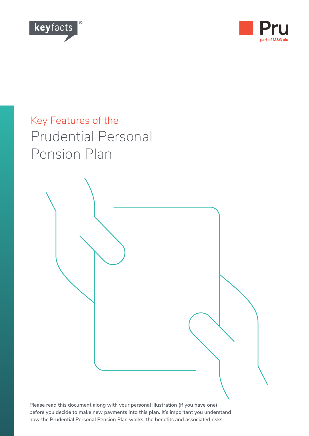



# Key Features of the Prudential Personal Pension Plan



**Please read this document along with your personal illustration (if you have one) before you decide to make new payments into this plan. It's important you understand how the Prudential Personal Pension Plan works, the benefits and associated risks.**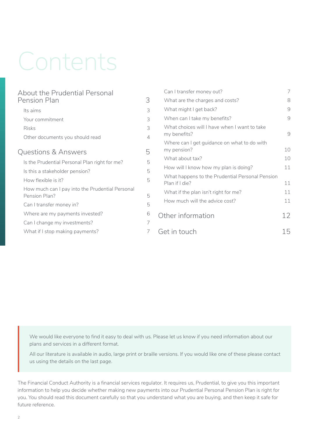# Contents

| About the Prudential Personal                                    |                | Can I transfer money out?                                         | 7  |
|------------------------------------------------------------------|----------------|-------------------------------------------------------------------|----|
| Pension Plan                                                     | 3              | What are the charges and costs?                                   | 8  |
| Its aims                                                         | 3              | What might I get back?                                            | 9  |
| Your commitment                                                  | 3              | When can I take my benefits?                                      | 9  |
| <b>Risks</b>                                                     | 3              | What choices will I have when I want to take                      |    |
| Other documents you should read                                  | $\overline{4}$ | my benefits?                                                      | 9  |
| <b>Questions &amp; Answers</b>                                   | 5              | Where can I get guidance on what to do with<br>my pension?        | 10 |
| Is the Prudential Personal Plan right for me?                    | 5              | What about tax?                                                   | 10 |
|                                                                  | 5              | How will I know how my plan is doing?                             | 11 |
| Is this a stakeholder pension?<br>How flexible is it?            | 5              | What happens to the Prudential Personal Pension<br>Plan if I die? | 11 |
| How much can I pay into the Prudential Personal<br>Pension Plan? | 5              | What if the plan isn't right for me?                              | 11 |
| Can I transfer money in?                                         | 5              | How much will the advice cost?                                    | 11 |
| Where are my payments invested?                                  | 6              | Other information                                                 | 12 |
| Can I change my investments?                                     | 7              |                                                                   |    |
| What if I stop making payments?                                  | 7              | Get in touch                                                      | 15 |

We would like everyone to find it easy to deal with us. Please let us know if you need information about our plans and services in a different format.

All our literature is available in audio, large print or braille versions. If you would like one of these please contact us using the details on the last page.

The Financial Conduct Authority is a financial services regulator. It requires us, Prudential, to give you this important information to help you decide whether making new payments into our Prudential Personal Pension Plan is right for you. You should read this document carefully so that you understand what you are buying, and then keep it safe for future reference.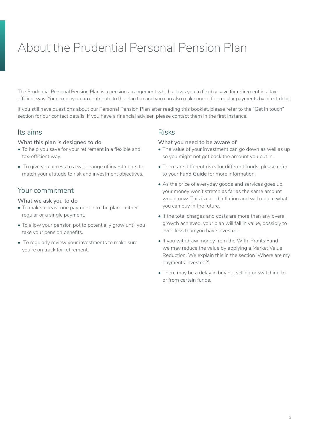# <span id="page-2-0"></span>About the Prudential Personal Pension Plan

The Prudential Personal Pension Plan is a pension arrangement which allows you to flexibly save for retirement in a taxefficient way. Your employer can contribute to the plan too and you can also make one-off or regular payments by direct debit.

If you still have questions about our Personal Pension Plan after reading this booklet, please refer to the "Get in touch" section for our contact details. If you have a financial adviser, please contact them in the first instance.

### Its aims

#### **What this plan is designed to do**

- To help you save for your retirement in a flexible and tax-efficient way.
- To give you access to a wide range of investments to match your attitude to risk and investment objectives.

# Your commitment

#### **What we ask you to do**

- To make at least one payment into the plan either regular or a single payment.
- To allow your pension pot to potentially grow until you take your pension benefits.
- To regularly review your investments to make sure you're on track for retirement.

### Risks

#### **What you need to be aware of**

- The value of your investment can go down as well as up so you might not get back the amount you put in.
- There are different risks for different funds, please refer to your **Fund Guide** for more information.
- As the price of everyday goods and services goes up, your money won't stretch as far as the same amount would now. This is called inflation and will reduce what you can buy in the future.
- If the total charges and costs are more than any overall growth achieved, your plan will fall in value, possibly to even less than you have invested.
- If you withdraw money from the With-Profits Fund we may reduce the value by applying a Market Value Reduction. We explain this in the section 'Where are my payments invested?'.
- There may be a delay in buying, selling or switching to or from certain funds.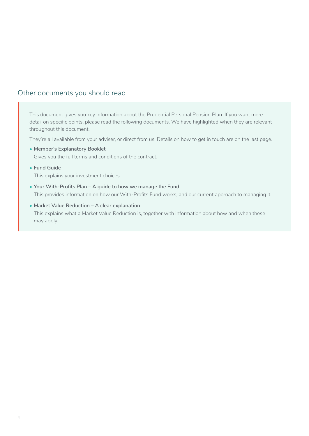# <span id="page-3-0"></span>Other documents you should read

This document gives you key information about the Prudential Personal Pension Plan. If you want more detail on specific points, please read the following documents. We have highlighted when they are relevant throughout this document.

They're all available from your adviser, or direct from us. Details on how to get in touch are on the last page.

**• Member's Explanatory Booklet**

Gives you the full terms and conditions of the contract.

**• Fund Guide**

This explains your investment choices.

- **• Your With-Profits Plan A guide to how we manage the Fund** This provides information on how our With-Profits Fund works, and our current approach to managing it.
- **• Market Value Reduction A clear explanation** This explains what a Market Value Reduction is, together with information about how and when these may apply.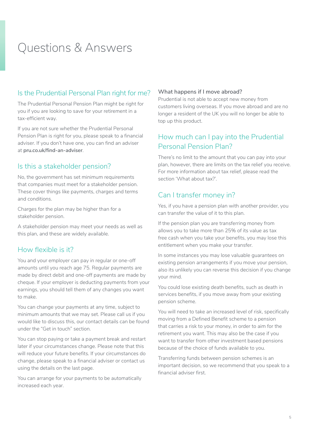# <span id="page-4-0"></span>Questions & Answers

# Is the Prudential Personal Plan right for me?

The Prudential Personal Pension Plan might be right for you if you are looking to save for your retirement in a tax-efficient way.

If you are not sure whether the Prudential Personal Pension Plan is right for you, please speak to a financial adviser. If you don't have one, you can find an adviser at **[pru.co.uk/find-an-adviser](https://www.pru.co.uk/find-an-adviser)**.

# Is this a stakeholder pension?

No, the government has set minimum requirements that companies must meet for a stakeholder pension. These cover things like payments, charges and terms and conditions.

Charges for the plan may be higher than for a stakeholder pension.

A stakeholder pension may meet your needs as well as this plan, and these are widely available.

# How flexible is it?

You and your employer can pay in regular or one-off amounts until you reach age 75. Regular payments are made by direct debit and one-off payments are made by cheque. If your employer is deducting payments from your earnings, you should tell them of any changes you want to make.

You can change your payments at any time, subject to minimum amounts that we may set. Please call us if you would like to discuss this, our contact details can be found under the "Get in touch" section.

You can stop paying or take a payment break and restart later if your circumstances change. Please note that this will reduce your future benefits. If your circumstances do change, please speak to a financial adviser or contact us using the details on the last page.

You can arrange for your payments to be automatically increased each year.

#### **What happens if I move abroad?**

Prudential is not able to accept new money from customers living overseas. If you move abroad and are no longer a resident of the UK you will no longer be able to top up this product.

# How much can I pay into the Prudential Personal Pension Plan?

There's no limit to the amount that you can pay into your plan, however, there are limits on the tax relief you receive. For more information about tax relief, please read the section 'What about tax?'.

# Can I transfer money in?

Yes, if you have a pension plan with another provider, you can transfer the value of it to this plan.

If the pension plan you are transferring money from allows you to take more than 25% of its value as tax free cash when you take your benefits, you may lose this entitlement when you make your transfer.

In some instances you may lose valuable guarantees on existing pension arrangements if you move your pension, also its unlikely you can reverse this decision if you change your mind.

You could lose existing death benefits, such as death in services benefits, if you move away from your existing pension scheme.

You will need to take an increased level of risk, specifically moving from a Defined Benefit scheme to a pension that carries a risk to your money, in order to aim for the retirement you want. This may also be the case if you want to transfer from other investment based pensions because of the choice of funds available to you.

Transferring funds between pension schemes is an important decision, so we recommend that you speak to a financial adviser first.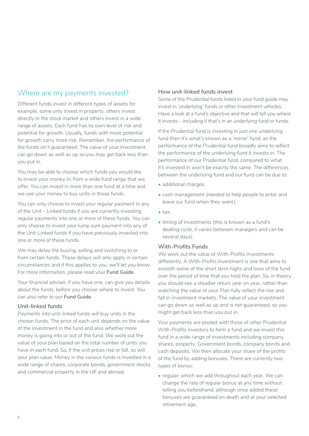# <span id="page-5-0"></span>Where are my payments invested?

Different funds invest in different types of assets for example, some only invest in property, others invest directly in the stock market and others invest in a wide range of assets. Each fund has its own level of risk and potential for growth. Usually, funds with more potential for growth carry more risk. Remember, the performance of the funds isn't guaranteed. The value of your investment can go down as well as up so you may get back less than you put in.

You may be able to choose which funds you would like to invest your money in, from a wide fund range that we offer. You can invest in more than one fund at a time and we use your money to buy units in those funds.

You can only choose to invest your regular payment in any of the Unit – Linked funds if you are currently investing regular payments into one or more of these funds. You can only choose to invest your lump sum payment into any of the Unit-Linked funds if you have previously invested into one or more of these funds.

We may delay the buying, selling and switching to or from certain funds. These delays will only apply in certain circumstances and if this applies to you, we'll let you know. For more information, please read your **Fund Guide**.

Your financial adviser, if you have one, can give you details about the funds, before you choose where to invest. You can also refer to our **Fund Guide**.

#### **Unit-linked funds**

Payments into unit-linked funds will buy units in the chosen funds. The price of each unit depends on the value of the investment in the fund and also whether more money is going into or out of the fund. We work out the value of your plan based on the total number of units you have in each fund. So, if the unit prices rise or fall, so will your plan value. Money in the various funds is invested in a wide range of shares, corporate bonds, government stocks and commercial property in the UK and abroad.

#### **How unit-linked funds invest**

Some of the Prudential funds listed in your fund guide may invest in 'underlying' funds or other investment vehicles. Have a look at a fund's objective and that will tell you where it invests – including if that's in an underlying fund or funds.

If the Prudential fund is investing in just one underlying fund then it's what's known as a 'mirror' fund, as the performance of the Prudential fund broadly aims to reflect the performance of the underlying fund it invests in. The performance of our Prudential fund, compared to what it's invested in won't be exactly the same. The differences between the underlying fund and our fund can be due to:

- additional charges,
- cash management (needed to help people to enter and leave our fund when they want),
- tax,
- timing of investments (this is known as a fund's dealing cycle, it varies between managers and can be several days).

#### **With-Profits Funds**

We work out the value of With-Profits investments differently. A With-Profits investment is one that aims to smooth some of the short term highs and lows of the fund over the period of time that you hold the plan. So, in theory you should see a steadier return year on year, rather than watching the value of your Plan fully reflect the rise and fall in investment markets. The value of your investment can go down as well as up and is not guaranteed, so you might get back less than you put in.

Your payments are pooled with those of other Prudential With-Profits investors to form a fund and we invest this fund in a wide range of investments including company shares, property, Government bonds, company bonds and cash deposits. We then allocate your share of the profits of the fund by adding bonuses. There are currently two types of bonus:

• regular, which we add throughout each year. We can change the rate of regular bonus at any time without telling you beforehand, although once added these bonuses are guaranteed on death and at your selected retirement age,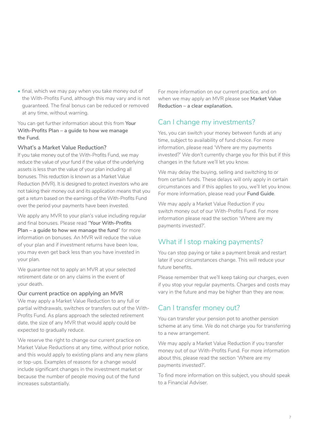<span id="page-6-0"></span>• final, which we may pay when you take money out of the With-Profits Fund, although this may vary and is not guaranteed. The final bonus can be reduced or removed at any time, without warning.

You can get further information about this from **Your With-Profits Plan – a guide to how we manage the Fund.**

#### **What's a Market Value Reduction?**

If you take money out of the With-Profits Fund, we may reduce the value of your fund if the value of the underlying assets is less than the value of your plan including all bonuses. This reduction is known as a Market Value Reduction (MVR). It is designed to protect investors who are not taking their money out and its application means that you get a return based on the earnings of the With-Profits Fund over the period your payments have been invested.

We apply any MVR to your plan's value including regular and final bonuses. Please read "**Your With-Profits Plan – a guide to how we manage the fund**" for more information on bonuses. An MVR will reduce the value of your plan and if investment returns have been low, you may even get back less than you have invested in your plan.

We quarantee not to apply an MVR at your selected retirement date or on any claims in the event of your death.

#### **Our current practice on applying an MVR**

We may apply a Market Value Reduction to any full or partial withdrawals, switches or transfers out of the With-Profits Fund. As plans approach the selected retirement date, the size of any MVR that would apply could be expected to gradually reduce.

We reserve the right to change our current practice on Market Value Reductions at any time, without prior notice, and this would apply to existing plans and any new plans or top-ups. Examples of reasons for a change would include significant changes in the investment market or because the number of people moving out of the fund increases substantially.

For more information on our current practice, and on when we may apply an MVR please see **Market Value Reduction – a clear explanation.** 

# Can I change my investments?

Yes, you can switch your money between funds at any time, subject to availability of fund choice. For more information, please read 'Where are my payments invested?' We don't currently charge you for this but if this changes in the future we'll let you know.

We may delay the buying, selling and switching to or from certain funds. These delays will only apply in certain circumstances and if this applies to you, we'll let you know. For more information, please read your **Fund Guide**.

We may apply a Market Value Reduction if you switch money out of our With-Profits Fund. For more information please read the section 'Where are my payments invested?'.

# What if I stop making payments?

You can stop paying or take a payment break and restart later if your circumstances change. This will reduce your future benefits.

Please remember that we'll keep taking our charges, even if you stop your regular payments. Charges and costs may vary in the future and may be higher than they are now.

# Can I transfer money out?

You can transfer your pension pot to another pension scheme at any time. We do not charge you for transferring to a new arrangement.

We may apply a Market Value Reduction if you transfer money out of our With-Profits Fund. For more information about this, please read the section 'Where are my payments invested?'.

To find more information on this subject, you should speak to a Financial Adviser.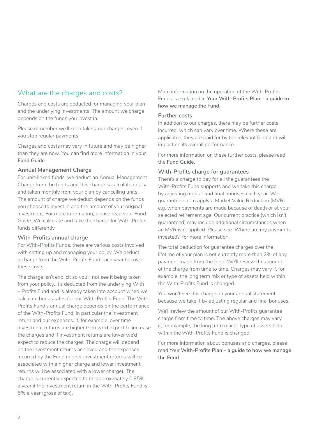# <span id="page-7-0"></span>What are the charges and costs?

Charges and costs are deducted for managing your plan and the underlying investments. The amount we charge depends on the funds you invest in.

Please remember we'll keep taking our charges, even if you stop regular payments.

Charges and costs may vary in future and may be higher than they are now. You can find more information in your **Fund Guide**.

#### **Annual Management Charge**

For unit-linked funds, we deduct an Annual Management Charge from the funds and this charge is calculated daily and taken monthly from your plan by cancelling units. The amount of charge we deduct depends on the funds you choose to invest in and the amount of your original investment. For more information, please read your Fund Guide. We calculate and take the charge for With-Profits funds differently.

#### **With-Profits annual charge**

For With-Profits Funds, there are various costs involved with setting up and managing your policy. We deduct a charge from the With-Profits Fund each year to cover these costs.

The charge isn't explicit so you'll not see it being taken from your policy. It's deducted from the underlying With – Profits Fund and is already taken into account when we calculate bonus rates for our With-Profits Fund. The With-Profits Fund's annual charge depends on the performance of the With-Profits Fund, in particular the investment return and our expenses. If, for example, over time investment returns are higher then we'd expect to increase the charges and if investment returns are lower we'd expect to reduce the charges. The charge will depend on the investment returns achieved and the expenses incurred by the Fund (higher investment returns will be associated with a higher charge and lower investment returns will be associated with a lower charge). The charge is currently expected to be approximately 0.95% a year if the investment return in the With-Profits Fund is 5% a year (gross of tax).

More information on the operation of the With-Profits Funds is explained in **Your With-Profits Plan – a guide to how we manage the Fund**.

#### **Further costs**

In addition to our charges, there may be further costs incurred, which can vary over time. Where these are applicable, they are paid for by the relevant fund and will impact on its overall performance.

For more information on these further costs, please read the **Fund Guide**.

#### **With-Profits charge for guarantees**

There's a charge to pay for all the guarantees the With-Profits Fund supports and we take this charge by adjusting regular and final bonuses each year. We guarantee not to apply a Market Value Reduction (MVR) e.g. when payments are made because of death or at your selected retirement age. Our current practice (which isn't guaranteed) may include additional circumstances when an MVR isn't applied. Please see 'Where are my payments invested?' for more information.

The total deduction for guarantee charges over the lifetime of your plan is not currently more than 2% of any payment made from the fund. We'll review the amount of the charge from time to time. Charges may vary if, for example, the long term mix or type of assets held within the With-Profits Fund is changed.

You won't see this charge on your annual statement because we take it by adjusting regular and final bonuses.

We'll review the amount of our With-Profits guarantee charge from time to time. The above charges may vary if, for example, the long term mix or type of assets held within the With-Profits Fund is changed.

For more information about bonuses and charges, please read Your **With-Profits Plan – a guide to how we manage the Fund**.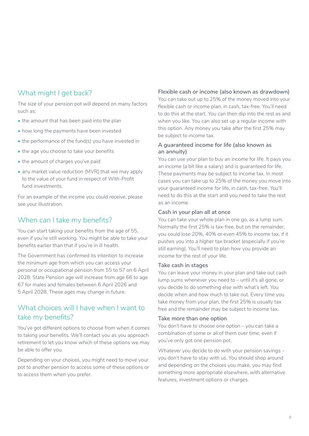# <span id="page-8-0"></span>What might I get back?

The size of your pension pot will depend on many factors such as:

- the amount that has been paid into the plan
- how long the payments have been invested
- the performance of the fund(s) you have invested in
- the age you choose to take your benefits
- the amount of charges you've paid
- any market value reduction (MVR) that we may apply to the value of your fund in respect of With-Profit fund investments.

For an example of the income you could receive, please see your illustration.

# When can I take my benefits?

You can start taking your benefits from the age of 55, even if you're still working. You might be able to take your benefits earlier than that if you're in ill health.

The Government has confirmed its intention to increase the minimum age from which you can access your personal or occupational pension from 55 to 57 on 6 April 2028. State Pension age will increase from age 66 to age 67 for males and females between 6 April 2026 and 5 April 2028. These ages may change in future.

# What choices will I have when I want to take my benefits?

You've got different options to choose from when it comes to taking your benefits. We'll contact you as you approach retirement to let you know which of these options we may be able to offer you.

Depending on your choices, you might need to move your pot to another pension to access some of these options or to access them when you prefer.

#### **Flexible cash or income (also known as drawdown)**

You can take out up to 25% of the money moved into your flexible cash or income plan, in cash, tax-free. You'll need to do this at the start. You can then dip into the rest as and when you like. You can also set up a regular income with this option. Any money you take after the first 25% may be subject to income tax.

#### **A guaranteed income for life (also known as an annuity)**

You can use your plan to buy an income for life. It pays you an income (a bit like a salary) and is guaranteed for life. These payments may be subject to income tax. In most cases you can take up to 25% of the money you move into your guaranteed income for life, in cash, tax-free. You'll need to do this at the start and you need to take the rest as an income.

#### **Cash in your plan all at once**

You can take your whole plan in one go, as a lump sum. Normally the first 25% is tax-free, but on the remainder, you could lose 20%, 40% or even 45% to income tax, if it pushes you into a higher tax bracket (especially if you're still earning). You'll need to plan how you provide an income for the rest of your life.

#### **Take cash in stages**

You can leave your money in your plan and take out cash lump sums whenever you need to – until it's all gone, or you decide to do something else with what's left. You decide when and how much to take out. Every time you take money from your plan, the first 25% is usually tax free and the remainder may be subject to income tax.

#### **Take more than one option**

You don't have to choose one option – you can take a combination of some or all of them over time, even if you've only got one pension pot.

Whatever you decide to do with your pension savings – you don't have to stay with us. You should shop around and depending on the choices you make, you may find something more appropriate elsewhere, with alternative features, investment options or charges.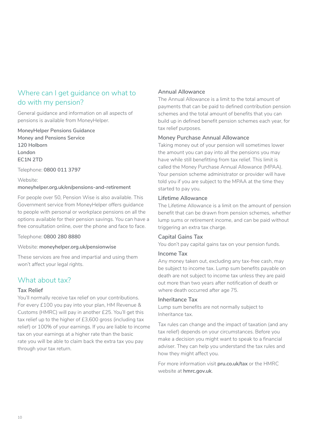# <span id="page-9-0"></span>Where can I get guidance on what to do with my pension?

General guidance and information on all aspects of pensions is available from MoneyHelper.

**MoneyHelper Pensions Guidance Money and Pensions Service 120 Holborn London EC1N 2TD**

Telephone: **0800 011 3797**

Website: **[moneyhelper.org.uk/en/pensions-and-retirement](https://www.moneyhelper.org.uk/en/pensions-and-retirement)**

For people over 50, Pension Wise is also available. This Government service from MoneyHelper offers guidance to people with personal or workplace pensions on all the options available for their pension savings. You can have a free consultation online, over the phone and face to face.

Telephone: **0800 280 8880**

Website: **[moneyhelper.org.uk/pensionwise](https://www.moneyhelper.org.uk/pensionwise)**

These services are free and impartial and using them won't affect your legal rights.

# What about tax?

#### **Tax Relief**

You'll normally receive tax relief on your contributions. For every £100 you pay into your plan, HM Revenue & Customs (HMRC) will pay in another £25. You'll get this tax relief up to the higher of £3,600 gross (including tax relief) or 100% of your earnings. If you are liable to income tax on your earnings at a higher rate than the basic rate you will be able to claim back the extra tax you pay through your tax return.

#### **Annual Allowance**

The Annual Allowance is a limit to the total amount of payments that can be paid to defined contribution pension schemes and the total amount of benefits that you can build up in defined benefit pension schemes each year, for tax relief purposes.

#### **Money Purchase Annual Allowance**

Taking money out of your pension will sometimes lower the amount you can pay into all the pensions you may have while still benefitting from tax relief. This limit is called the Money Purchase Annual Allowance (MPAA). Your pension scheme administrator or provider will have told you if you are subject to the MPAA at the time they started to pay you.

#### **Lifetime Allowance**

The Lifetime Allowance is a limit on the amount of pension benefit that can be drawn from pension schemes, whether lump sums or retirement income, and can be paid without triggering an extra tax charge.

#### **Capital Gains Tax**

You don't pay capital gains tax on your pension funds.

#### **Income Tax**

Any money taken out, excluding any tax-free cash, may be subject to income tax. Lump sum benefits payable on death are not subject to income tax unless they are paid out more than two years after notification of death or where death occurred after age 75.

#### **Inheritance Tax**

Lump sum benefits are not normally subject to Inheritance tax.

Tax rules can change and the impact of taxation (and any tax relief) depends on your circumstances. Before you make a decision you might want to speak to a financial adviser. They can help you understand the tax rules and how they might affect you.

For more information visit **[pru.co.uk/tax](https://www.pru.co.uk/tax)** or the HMRC website at **[hmrc.gov.uk](https://www.hmrc.gov.uk)**.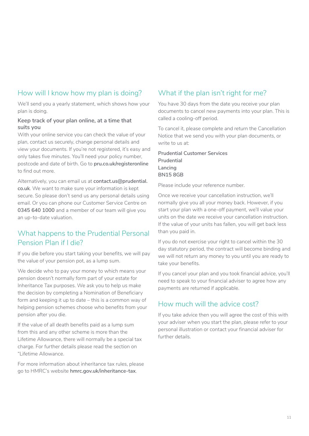# <span id="page-10-0"></span>How will I know how my plan is doing?

We'll send you a yearly statement, which shows how your plan is doing.

#### **Keep track of your plan online, at a time that suits you**

With your online service you can check the value of your plan, contact us securely, change personal details and view your documents. If you're not registered, it's easy and only takes five minutes. You'll need your policy number, postcode and date of birth. Go to **[pru.co.uk/registeronline](https://www.pru.co.uk/registeronline)**  to find out more.

Alternatively, you can email us at **[contact.us@prudential.](mailto:contact.us%40prudential.co.uk?subject=) [co.uk](mailto:contact.us%40prudential.co.uk?subject=)**. We want to make sure your information is kept secure. So please don't send us any personal details using email. Or you can phone our Customer Service Centre on **0345 640 1000** and a member of our team will give you an up-to-date valuation.

# What happens to the Prudential Personal Pension Plan if I die?

If you die before you start taking your benefits, we will pay the value of your pension pot, as a lump sum.

We decide who to pay your money to which means your pension doesn't normally form part of your estate for Inheritance Tax purposes. We ask you to help us make the decision by completing a Nomination of Beneficiary form and keeping it up to date – this is a common way of helping pension schemes choose who benefits from your pension after you die.

If the value of all death benefits paid as a lump sum from this and any other scheme is more than the Lifetime Allowance, there will normally be a special tax charge. For further details please read the section on "Lifetime Allowance.

For more information about inheritance tax rules, please go to HMRC's website **hmrc.gov.uk/inheritance-tax**.

# What if the plan isn't right for me?

You have 30 days from the date you receive your plan documents to cancel new payments into your plan. This is called a cooling-off period.

To cancel it, please complete and return the Cancellation Notice that we send you with your plan documents, or write to us at:

**Prudential Customer Services Prudential Lancing BN15 8GB**

Please include your reference number.

Once we receive your cancellation instruction, we'll normally give you all your money back. However, if you start your plan with a one-off payment, we'll value your units on the date we receive your cancellation instruction. If the value of your units has fallen, you will get back less than you paid in.

If you do not exercise your right to cancel within the 30 day statutory period, the contract will become binding and we will not return any money to you until you are ready to take your benefits.

If you cancel your plan and you took financial advice, you'll need to speak to your financial adviser to agree how any payments are returned if applicable.

# How much will the advice cost?

If you take advice then you will agree the cost of this with your adviser when you start the plan, please refer to your personal illustration or contact your financial adviser for further details.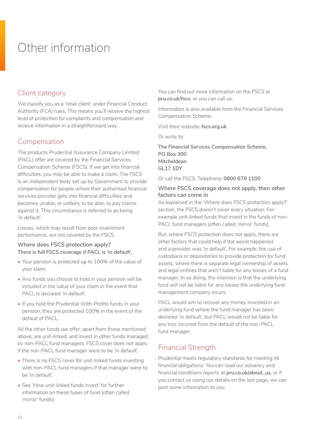# <span id="page-11-0"></span>Other information

# Client category

We classify you as a 'retail client' under Financial Conduct Authority (FCA) rules. This means you'll receive the highest level of protection for complaints and compensation and receive information in a straightforward way.

# Compensation

The products Prudential Assurance Company Limited (PACL) offer are covered by the Financial Services Compensation Scheme (FSCS). If we get into financial difficulties, you may be able to make a claim. The FSCS is an independent body set up by Government to provide compensation for people where their authorised financial services provider gets into financial difficulties and becomes unable, or unlikely to be able, to pay claims against it. This circumstance is referred to as being 'in default'.

Losses, which may result from poor investment performance, are not covered by the FSCS.

#### **Where does FSCS protection apply? There is full FSCS coverage if PACL is 'in default'.**

- Your pension is protected up to 100% of the value of your claim.
- Any funds you choose to hold in your pension will be included in the value of your claim in the event that PACL is declared 'in default'.
- If you hold the Prudential With-Profits funds in your pension, they are protected 100% in the event of the default of PACL.

All the other funds we offer, apart from those mentioned above, are unit-linked, and invest in other funds managed by non-PACL fund managers. FSCS cover does not apply if the non-PACL fund manager were to be 'in default'.

- There is no FSCS cover for unit-linked funds investing with non-PACL fund managers if that manager were to be 'in default'.
- See 'How unit-linked funds invest' for further information on these types of fund (often called 'mirror' funds).

You can find out more information on the FSCS at **[pru.co.uk/fscs](http://www.pru.co.uk/fscs)**, or you can call us.

Information is also available from the Financial Services Compensation Scheme.

Visit their website: **[fscs.org.uk](http://www.fscs.org.uk)**

Or write to:

**The Financial Services Compensation Scheme, PO Box 300 Mitcheldean GL17 1DY**

Or call the FSCS: Telephone: **0800 678 1100**

#### **Where FSCS coverage does not apply, then other factors can come in**

As explained in the 'Where does FSCS protection apply?' section, the FSCS doesn't cover every situation. For example unit-linked funds that invest in the funds of non-PACL fund managers (often called 'mirror' funds).

But, where FSCS protection does not apply, there are other factors that could help if the worst happened and a provider was 'in default'. For example, the use of custodians or depositories to provide protection for fund assets, where there is separate legal ownership of assets and legal entities that aren't liable for any losses of a fund manager. In so doing, the intention is that the underlying fund will not be liable for any losses the underlying fund management company incurs.

PACL would aim to recover any money invested in an underlying fund where the fund manager has been declared 'in default', but PACL would not be liable for any loss incurred from the default of the non-PACL fund manager.

# Financial Strength

Prudential meets regulatory standards for meeting its financial obligations. You can read our solvency and financial conditions reports at **[pru.co.uk/about\\_us](https://www.pru.co.uk/about_us)**, or if you contact us using our details on the last page, we can post some information to you.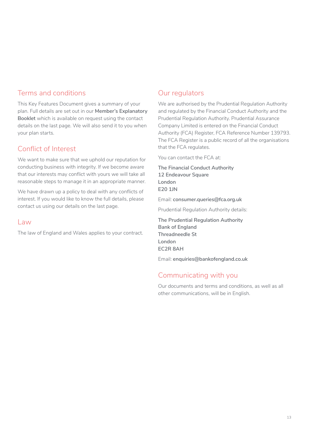### Terms and conditions

This Key Features Document gives a summary of your plan. Full details are set out in our **Member's Explanatory Booklet** which is available on request using the contact details on the last page. We will also send it to you when your plan starts.

# Conflict of Interest

We want to make sure that we uphold our reputation for conducting business with integrity. If we become aware that our interests may conflict with yours we will take all reasonable steps to manage it in an appropriate manner.

We have drawn up a policy to deal with any conflicts of interest. If you would like to know the full details, please contact us using our details on the last page.

#### Law

The law of England and Wales applies to your contract.

# Our regulators

We are authorised by the Prudential Regulation Authority and regulated by the Financial Conduct Authority and the Prudential Regulation Authority. Prudential Assurance Company Limited is entered on the Financial Conduct Authority (FCA) Register, FCA Reference Number 139793. The FCA Register is a public record of all the organisations that the FCA regulates.

You can contact the FCA at:

**The Financial Conduct Authority 12 Endeavour Square London E20 1JN**

Email: **[consumer.queries@fca.org.uk](mailto:consumer.queries%40fca.org.uk?subject=)**

Prudential Regulation Authority details:

**The Prudential Regulation Authority Bank of England Threadneedle St London EC2R 8AH** 

Email: **[enquiries@bankofengland.co.uk](mailto:enquiries%40bankofengland.co.uk?subject=)**

# Communicating with you

Our documents and terms and conditions, as well as all other communications, will be in English.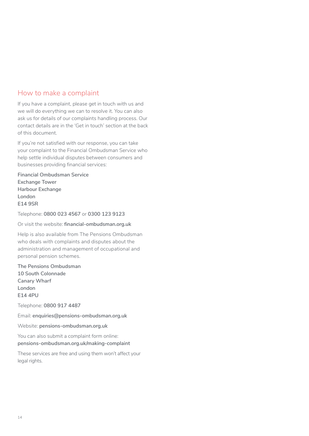### How to make a complaint

If you have a complaint, please get in touch with us and we will do everything we can to resolve it. You can also ask us for details of our complaints handling process. Our contact details are in the 'Get in touch' section at the back of this document.

If you're not satisfied with our response, you can take your complaint to the Financial Ombudsman Service who help settle individual disputes between consumers and businesses providing financial services:

**Financial Ombudsman Service Exchange Tower Harbour Exchange London E14 9SR**

Telephone: **0800 023 4567** or **0300 123 9123**

Or visit the website: **[financial-ombudsman.org.uk](https://www.financial-ombudsman.org.uk)**

Help is also available from The Pensions Ombudsman who deals with complaints and disputes about the administration and management of occupational and personal pension schemes.

**The Pensions Ombudsman 10 South Colonnade Canary Wharf London E14 4PU**

Telephone: **0800 917 4487**

Email: **[enquiries@pensions-ombudsman.org.uk](mailto:enquiries%40pensions-ombudsman.org.uk?subject=)**

Website: **[pensions-ombudsman.org.uk](https://www.pensions-ombudsman.org.uk/)**

You can also submit a complaint form online: **[pensions-ombudsman.org.uk/making-complaint](http://www.pensions-ombudsman.org.uk/making-complaint)**

These services are free and using them won't affect your legal rights.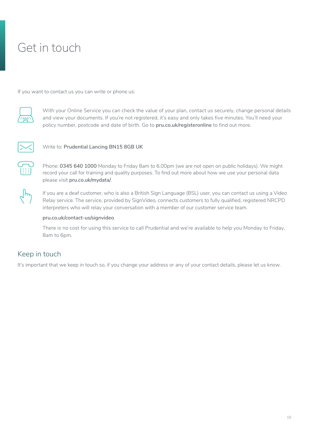# <span id="page-14-0"></span>Get in touch

If you want to contact us you can write or phone us:



With your Online Service you can check the value of your plan, contact us securely, change personal details and view your documents. If you're not registered, it's easy and only takes five minutes. You'll need your policy number, postcode and date of birth. Go to **[pru.co.uk/registeronline](https://www.pru.co.uk/registeronline)** to find out more.



Write to: **Prudential Lancing BN15 8GB UK**



Phone: **0345 640 1000** Monday to Friday 8am to 6.00pm (we are not open on public holidays). We might record your call for training and quality purposes. To find out more about how we use your personal data please visit **[pru.co.uk/mydata/](http://www.pru.co.uk/mydata/)**.

If you are a deaf customer, who is also a British Sign Language (BSL) user, you can contact us using a Video Relay service. The service, provided by SignVideo, connects customers to fully qualified, registered NRCPD interpreters who will relay your conversation with a member of our customer service team.

#### **[pru.co.uk/contact-us/signvideo](https://www.pru.co.uk/contact-us/signvideo)**

There is no cost for using this service to call Prudential and we're available to help you Monday to Friday, 8am to 6pm.

# Keep in touch

It's important that we keep in touch so, if you change your address or any of your contact details, please let us know.